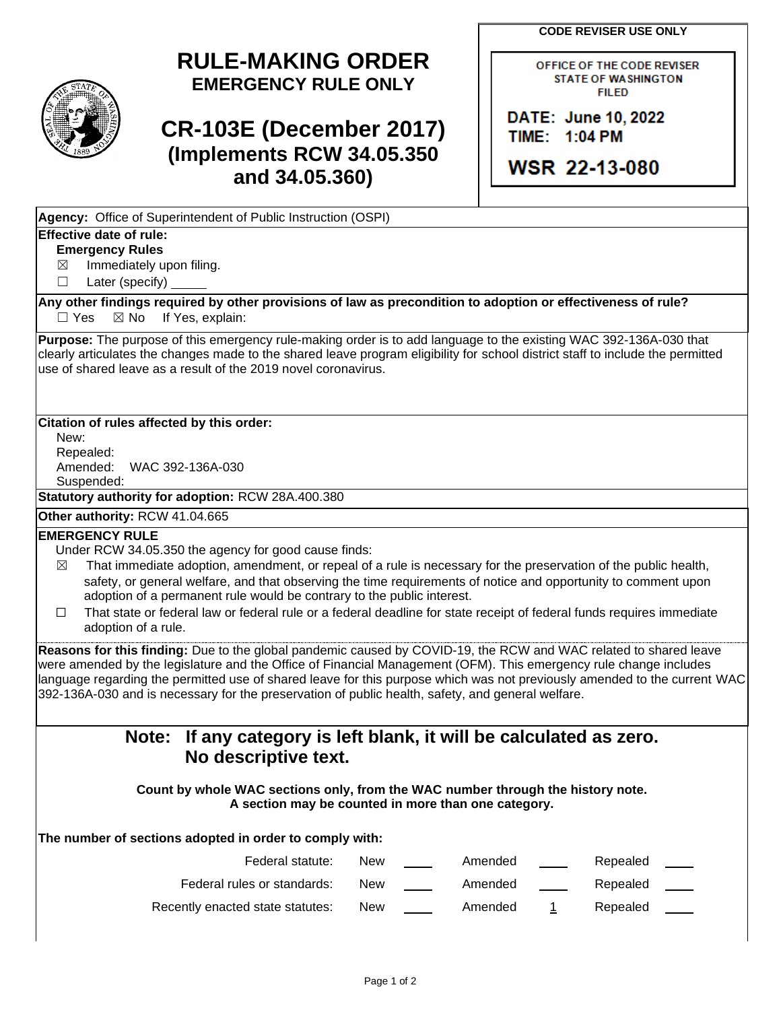**CODE REVISER USE ONLY** 

## **RULE-MAKING ORDER EMERGENCY RULE ONLY**

# **CR-103E (December 2017) (Implements RCW 34.05.350 and 34.05.360)**

OFFICE OF THE CODE REVISER **STATE OF WASHINGTON FILED** 

DATE: June 10, 2022 TIME: 1:04 PM

**WSR 22-13-080** 

**Agency:** Office of Superintendent of Public Instruction (OSPI)

### **Effective date of rule:**

#### **Emergency Rules**

 $\boxtimes$ Immediately upon filing.

 $\Box$ Later (specify)

 $\Box$  Yes **Any other findings required by other provisions of law as precondition to adoption or effectiveness of rule?**   $\boxtimes$  No If Yes, explain:

**Purpose:** The purpose of this emergency rule-making order is to add language to the existing WAC 392-136A-030 that clearly articulates the changes made to the shared leave program eligibility for school district staff to include the permitted use of shared leave as a result of the 2019 novel coronavirus.

#### **Citation of rules affected by this order:**

New: Repealed: Amended: WAC 392-136A-030 Suspended:

**Statutory authority for adoption:** RCW 28A.400.380

#### **Other authority:** RCW 41.04.665

#### **EMERGENCY RULE**

Under RCW 34.05.350 the agency for good cause finds:

- $\boxtimes$  That immediate adoption, amendment, or repeal of a rule is necessary for the preservation of the public health, safety, or general welfare, and that observing the time requirements of notice and opportunity to comment upon adoption of a permanent rule would be contrary to the public interest.
- ☐ That state or federal law or federal rule or a federal deadline for state receipt of federal funds requires immediate adoption of a rule.

language regarding the permitted use of shared leave for this purpose which was not previously amended to the current WAC **Reasons for this finding:** Due to the global pandemic caused by COVID-19, the RCW and WAC related to shared leave were amended by the legislature and the Office of Financial Management (OFM). This emergency rule change includes 392-136A-030 and is necessary for the preservation of public health, safety, and general welfare.

### **Note: If any category is left blank, it will be calculated as zero. No descriptive text.**

 **Count by whole WAC sections only, from the WAC number through the history note. A section may be counted in more than one category.** 

**The number of sections adopted in order to comply with:** 

| Federal statute:                 | New | Amended | Repealed |  |
|----------------------------------|-----|---------|----------|--|
| Federal rules or standards:      | New | Amended | Repealed |  |
| Recently enacted state statutes: | New | Amended | Repealed |  |